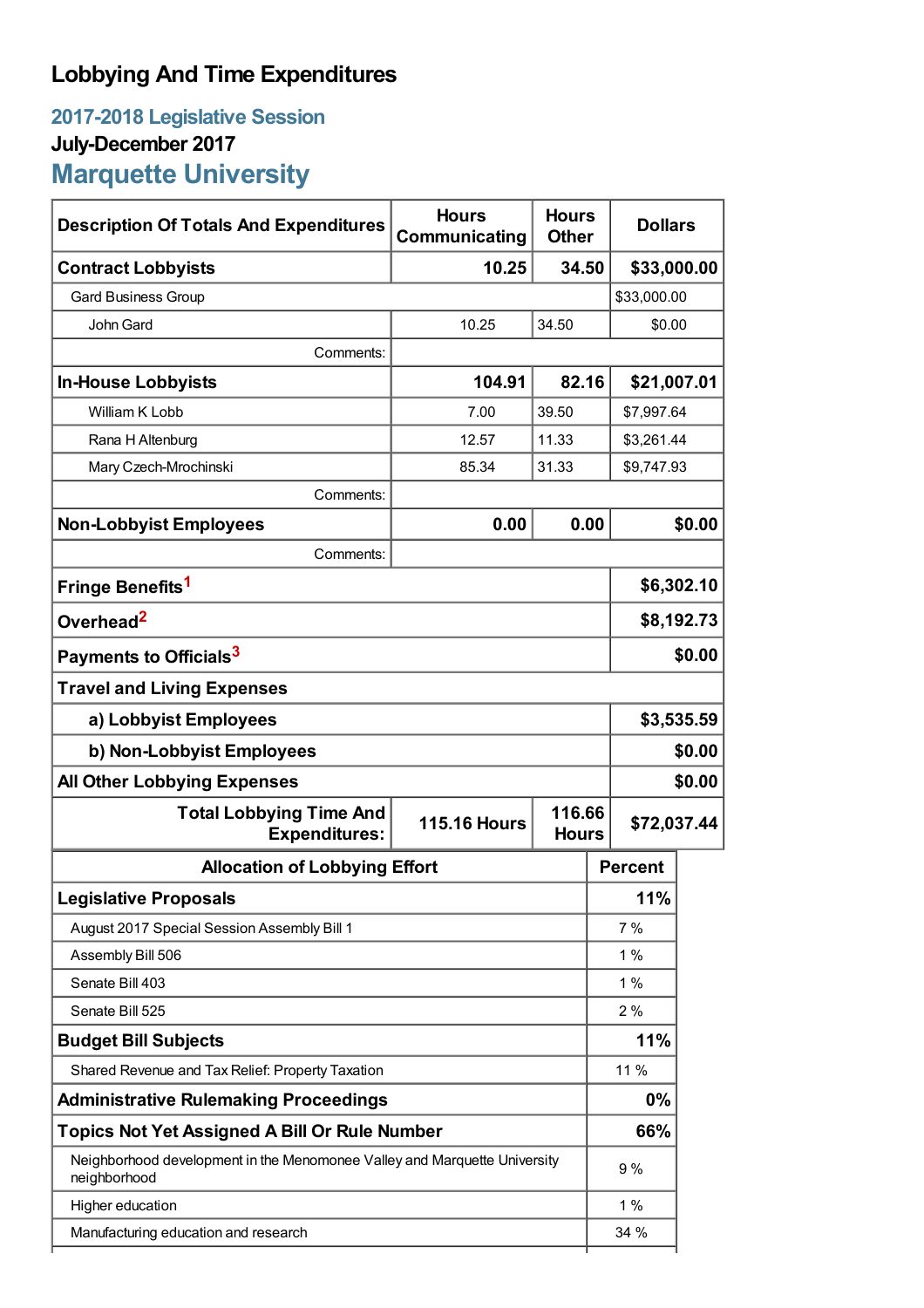## **Lobbying And Time Expenditures**

## **2017-2018 Legislative Session July-December 2017 Marquette University**

| <b>Description Of Totals And Expenditures</b>                                             | <b>Hours</b><br>Communicating | <b>Hours</b><br><b>Other</b> | <b>Dollars</b> |            |  |
|-------------------------------------------------------------------------------------------|-------------------------------|------------------------------|----------------|------------|--|
| <b>Contract Lobbyists</b>                                                                 | 10.25                         | 34.50                        | \$33,000.00    |            |  |
| <b>Gard Business Group</b>                                                                |                               |                              | \$33,000.00    |            |  |
| John Gard                                                                                 | 10.25                         | 34.50                        | \$0.00         |            |  |
| Comments:                                                                                 |                               |                              |                |            |  |
| <b>In-House Lobbyists</b>                                                                 | 104.91                        | 82.16                        | \$21,007.01    |            |  |
| William K Lobb                                                                            | 7.00                          | 39.50                        | \$7,997.64     |            |  |
| Rana H Altenburg                                                                          | 12.57                         | 11.33                        | \$3,261.44     |            |  |
| Mary Czech-Mrochinski                                                                     | 85.34                         | 31.33                        | \$9,747.93     |            |  |
| Comments:                                                                                 |                               |                              |                |            |  |
| <b>Non-Lobbyist Employees</b>                                                             | 0.00                          | 0.00                         |                | \$0.00     |  |
| Comments:                                                                                 |                               |                              |                |            |  |
| Fringe Benefits <sup>1</sup>                                                              |                               |                              | \$6,302.10     |            |  |
| Overhead <sup>2</sup>                                                                     |                               |                              | \$8,192.73     |            |  |
| Payments to Officials <sup>3</sup>                                                        |                               |                              |                | \$0.00     |  |
| <b>Travel and Living Expenses</b>                                                         |                               |                              |                |            |  |
| a) Lobbyist Employees                                                                     |                               |                              |                | \$3,535.59 |  |
| b) Non-Lobbyist Employees                                                                 |                               |                              |                | \$0.00     |  |
| <b>All Other Lobbying Expenses</b>                                                        |                               |                              |                | \$0.00     |  |
| <b>Total Lobbying Time And</b><br><b>Expenditures:</b>                                    | <b>115.16 Hours</b>           | 116.66<br><b>Hours</b>       | \$72,037.44    |            |  |
| <b>Allocation of Lobbying Effort</b>                                                      |                               |                              | <b>Percent</b> |            |  |
| <b>Legislative Proposals</b>                                                              |                               |                              | 11%            |            |  |
| August 2017 Special Session Assembly Bill 1                                               |                               |                              | 7%             |            |  |
| Assembly Bill 506                                                                         |                               |                              | $1\%$          |            |  |
| Senate Bill 403                                                                           |                               |                              | 1%             |            |  |
| Senate Bill 525                                                                           |                               |                              | 2%             |            |  |
| <b>Budget Bill Subjects</b>                                                               |                               |                              | 11%            |            |  |
| Shared Revenue and Tax Relief: Property Taxation                                          |                               |                              | 11 %           |            |  |
| <b>Administrative Rulemaking Proceedings</b>                                              |                               |                              | 0%             |            |  |
| <b>Topics Not Yet Assigned A Bill Or Rule Number</b>                                      |                               |                              | 66%            |            |  |
| Neighborhood development in the Menomonee Valley and Marquette University<br>neighborhood |                               |                              | 9%             |            |  |
| Higher education                                                                          |                               |                              | $1\%$          |            |  |
| Manufacturing education and research                                                      |                               |                              | 34 %           |            |  |